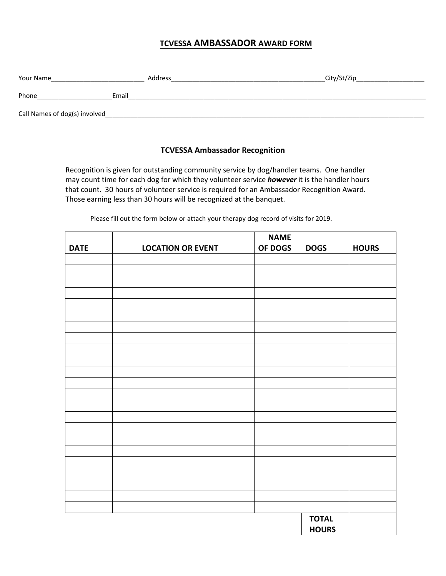## **TCVESSA AMBASSADOR AWARD FORM**

| Your Name                      |       | Address | _City/St/Zip_ |
|--------------------------------|-------|---------|---------------|
| Phone                          | Email |         |               |
| Call Names of dog(s) involved_ |       |         |               |

## **TCVESSA Ambassador Recognition**

Recognition is given for outstanding community service by dog/handler teams. One handler may count time for each dog for which they volunteer service *however* it is the handler hours that count. 30 hours of volunteer service is required for an Ambassador Recognition Award. Those earning less than 30 hours will be recognized at the banquet.

Please fill out the form below or attach your therapy dog record of visits for 2019.

| <b>DATE</b> | <b>LOCATION OR EVENT</b> | <b>NAME</b><br>OF DOGS | <b>DOGS</b>  | <b>HOURS</b> |
|-------------|--------------------------|------------------------|--------------|--------------|
|             |                          |                        |              |              |
|             |                          |                        |              |              |
|             |                          |                        |              |              |
|             |                          |                        |              |              |
|             |                          |                        |              |              |
|             |                          |                        |              |              |
|             |                          |                        |              |              |
|             |                          |                        |              |              |
|             |                          |                        |              |              |
|             |                          |                        |              |              |
|             |                          |                        |              |              |
|             |                          |                        |              |              |
|             |                          |                        |              |              |
|             |                          |                        |              |              |
|             |                          |                        |              |              |
|             |                          |                        |              |              |
|             |                          |                        |              |              |
|             |                          |                        |              |              |
|             |                          |                        |              |              |
|             |                          |                        |              |              |
|             |                          |                        |              |              |
|             |                          |                        |              |              |
|             |                          |                        |              |              |
|             |                          |                        | <b>TOTAL</b> |              |
|             |                          |                        | <b>HOURS</b> |              |